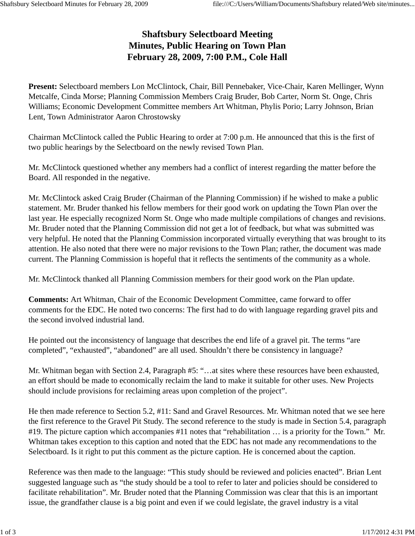## **Shaftsbury Selectboard Meeting Minutes, Public Hearing on Town Plan February 28, 2009, 7:00 P.M., Cole Hall**

**Present:** Selectboard members Lon McClintock, Chair, Bill Pennebaker, Vice-Chair, Karen Mellinger, Wynn Metcalfe, Cinda Morse; Planning Commission Members Craig Bruder, Bob Carter, Norm St. Onge, Chris Williams; Economic Development Committee members Art Whitman, Phylis Porio; Larry Johnson, Brian Lent, Town Administrator Aaron Chrostowsky

Chairman McClintock called the Public Hearing to order at 7:00 p.m. He announced that this is the first of two public hearings by the Selectboard on the newly revised Town Plan.

Mr. McClintock questioned whether any members had a conflict of interest regarding the matter before the Board. All responded in the negative.

Mr. McClintock asked Craig Bruder (Chairman of the Planning Commission) if he wished to make a public statement. Mr. Bruder thanked his fellow members for their good work on updating the Town Plan over the last year. He especially recognized Norm St. Onge who made multiple compilations of changes and revisions. Mr. Bruder noted that the Planning Commission did not get a lot of feedback, but what was submitted was very helpful. He noted that the Planning Commission incorporated virtually everything that was brought to its attention. He also noted that there were no major revisions to the Town Plan; rather, the document was made current. The Planning Commission is hopeful that it reflects the sentiments of the community as a whole.

Mr. McClintock thanked all Planning Commission members for their good work on the Plan update.

**Comments:** Art Whitman, Chair of the Economic Development Committee, came forward to offer comments for the EDC. He noted two concerns: The first had to do with language regarding gravel pits and the second involved industrial land.

He pointed out the inconsistency of language that describes the end life of a gravel pit. The terms "are completed", "exhausted", "abandoned" are all used. Shouldn't there be consistency in language?

Mr. Whitman began with Section 2.4, Paragraph #5: "…at sites where these resources have been exhausted, an effort should be made to economically reclaim the land to make it suitable for other uses. New Projects should include provisions for reclaiming areas upon completion of the project".

He then made reference to Section 5.2, #11: Sand and Gravel Resources. Mr. Whitman noted that we see here the first reference to the Gravel Pit Study. The second reference to the study is made in Section 5.4, paragraph #19. The picture caption which accompanies #11 notes that "rehabilitation … is a priority for the Town." Mr. Whitman takes exception to this caption and noted that the EDC has not made any recommendations to the Selectboard. Is it right to put this comment as the picture caption. He is concerned about the caption.

Reference was then made to the language: "This study should be reviewed and policies enacted". Brian Lent suggested language such as "the study should be a tool to refer to later and policies should be considered to facilitate rehabilitation". Mr. Bruder noted that the Planning Commission was clear that this is an important issue, the grandfather clause is a big point and even if we could legislate, the gravel industry is a vital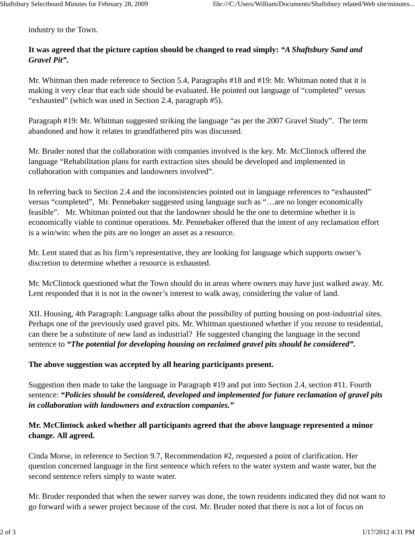industry to the Town.

## **It was agreed that the picture caption should be changed to read simply:** *"A Shaftsbury Sand and Gravel Pit".*

Mr. Whitman then made reference to Section 5.4, Paragraphs #18 and #19: Mr. Whitman noted that it is making it very clear that each side should be evaluated. He pointed out language of "completed" versus "exhausted" (which was used in Section 2.4, paragraph #5).

Paragraph #19: Mr. Whitman suggested striking the language "as per the 2007 Gravel Study". The term abandoned and how it relates to grandfathered pits was discussed.

Mr. Bruder noted that the collaboration with companies involved is the key. Mr. McClintock offered the language "Rehabilitation plans for earth extraction sites should be developed and implemented in collaboration with companies and landowners involved".

In referring back to Section 2.4 and the inconsistencies pointed out in language references to "exhausted" versus "completed", Mr. Pennebaker suggested using language such as "…are no longer economically feasible". Mr. Whitman pointed out that the landowner should be the one to determine whether it is economically viable to continue operations. Mr. Pennebaker offered that the intent of any reclamation effort is a win/win: when the pits are no longer an asset as a resource.

Mr. Lent stated that as his firm's representative, they are looking for language which supports owner's discretion to determine whether a resource is exhausted.

Mr. McClintock questioned what the Town should do in areas where owners may have just walked away. Mr. Lent responded that it is not in the owner's interest to walk away, considering the value of land.

XII. Housing, 4th Paragraph: Language talks about the possibility of putting housing on post-industrial sites. Perhaps one of the previously used gravel pits. Mr. Whitman questioned whether if you rezone to residential, can there be a substitute of new land as industrial? He suggested changing the language in the second sentence to *"The potential for developing housing on reclaimed gravel pits should be considered".* 

## **The above suggestion was accepted by all hearing participants present.**

Suggestion then made to take the language in Paragraph #19 and put into Section 2.4, section #11. Fourth sentence: *"Policies should be considered, developed and implemented for future reclamation of gravel pits in collaboration with landowners and extraction companies."* 

## **Mr. McClintock asked whether all participants agreed that the above language represented a minor change. All agreed.**

Cinda Morse, in reference to Section 9.7, Recommendation #2, requested a point of clarification. Her question concerned language in the first sentence which refers to the water system and waste water, but the second sentence refers simply to waste water.

Mr. Bruder responded that when the sewer survey was done, the town residents indicated they did not want to go forward with a sewer project because of the cost. Mr. Bruder noted that there is not a lot of focus on